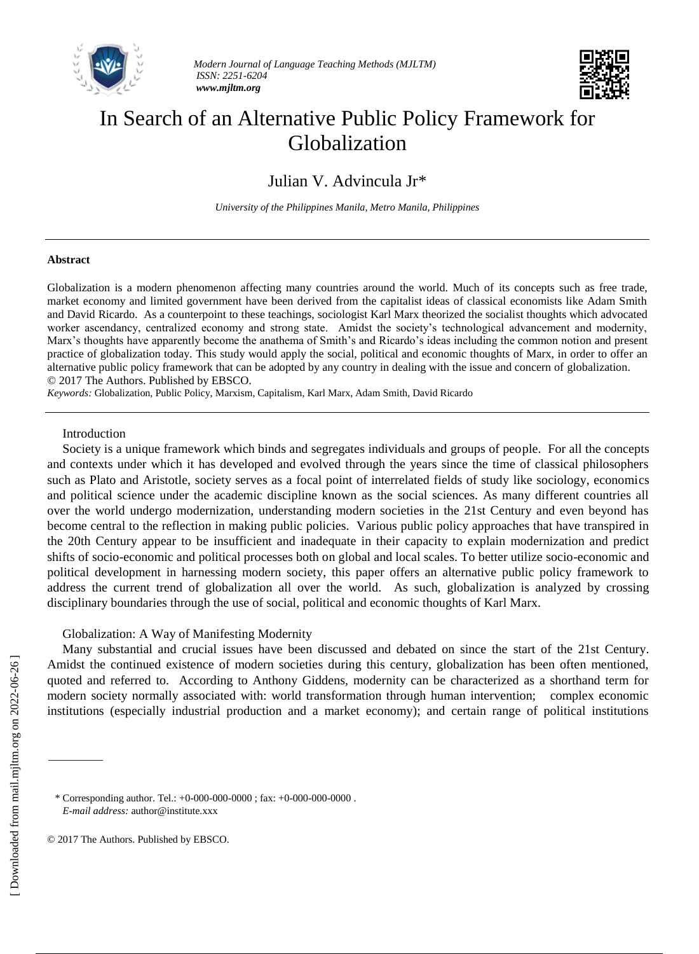



# In Search of an Alternative Public Policy Framework for Globalization

Julian V. Advincula Jr\*

*University of the Philippines Manila, Metro Manila, Philippines*

## **Abstract**

Globalization is a modern phenomenon affecting many countries around the world. Much of its concepts such as free trade, market economy and limited government have been derived from the capitalist ideas of classical economists like Adam Smith and David Ricardo. As a counterpoint to these teachings, sociologist Karl Marx theorized the socialist thoughts which advocated worker ascendancy, centralized economy and strong state. Amidst the society's technological advancement and modernity, Marx's thoughts have apparently become the anathema of Smith's and Ricardo's ideas including the common notion and present practice of globalization today. This study would apply the social, political and economic thoughts of Marx, in order to offer an alternative public policy framework that can be adopted by any country in dealing with the issue and concern of globalization. © 2017 The Authors. Published by EBSCO.

*Keywords:* Globalization, Public Policy, Marxism, Capitalism, Karl Marx, Adam Smith, David Ricardo

## Introduction

Society is a unique framework which binds and segregates individuals and groups of people. For all the concepts and contexts under which it has developed and evolved through the years since the time of classical philosophers such as Plato and Aristotle, society serves as a focal point of interrelated fields of study like sociology, economics and political science under the academic discipline known as the social sciences. As many different countries all over the world undergo modernization, understanding modern societies in the 21st Century and even beyond has become central to the reflection in making public policies. Various public policy approaches that have transpired in the 20th Century appear to be insufficient and inadequate in their capacity to explain modernization and predict shifts of socio-economic and political processes both on global and local scales. To better utilize socio-economic and political development in harnessing modern society, this paper offers an alternative public policy framework to address the current trend of globalization all over the world. As such, globalization is analyzed by crossing disciplinary boundaries through the use of social, political and economic thoughts of Karl Marx.

## Globalization: A Way of Manifesting Modernity

Many substantial and crucial issues have been discussed and debated on since the start of the 21st Century. Amidst the continued existence of modern societies during this century, globalization has been often mentioned, quoted and referred to. According to Anthony Giddens, modernity can be characterized as a shorthand term for modern society normally associated with: world transformation through human intervention; complex economic institutions (especially industrial production and a market economy); and certain range of political institutions

© 2017 The Authors. Published by EBSCO.

<sup>\*</sup> Corresponding author. Tel.: +0-000-000-0000 ; fax: +0-000-000-0000 . *E-mail address:* author@institute.xxx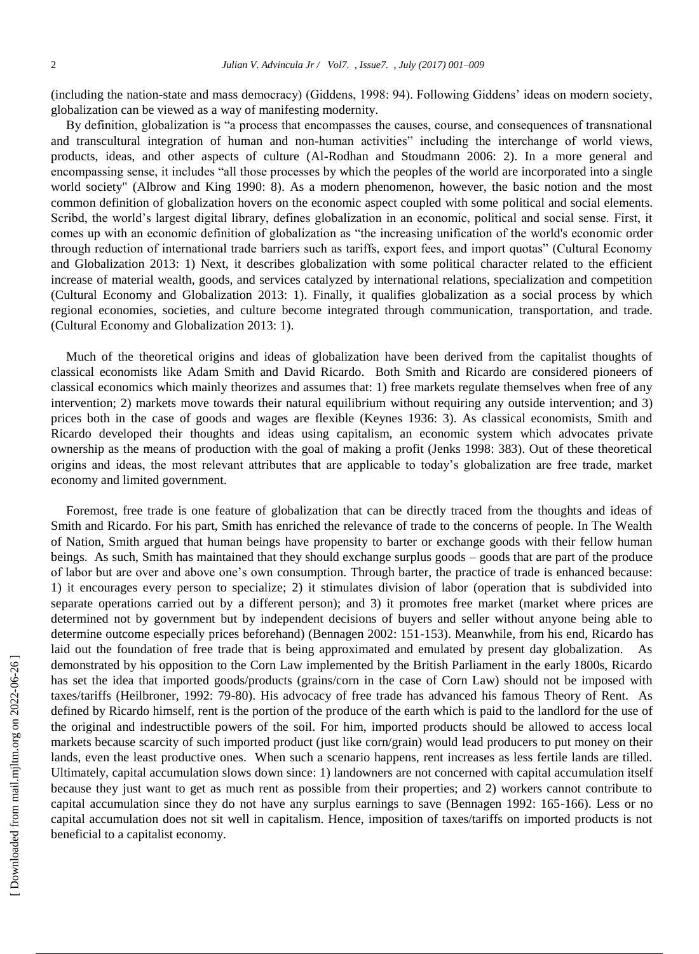(including the nation-state and mass democracy) (Giddens, 1998: 94). Following Giddens' ideas on modern society, globalization can be viewed as a way of manifesting modernity.

By definition, globalization is "a process that encompasses the causes, course, and consequences of transnational and transcultural integration of human and non-human activities" including the interchange of world views, products, ideas, and other aspects of culture (Al-Rodhan and Stoudmann 2006: 2). In a more general and encompassing sense, it includes "all those processes by which the peoples of the world are incorporated into a single world society" (Albrow and King 1990: 8). As a modern phenomenon, however, the basic notion and the most common definition of globalization hovers on the economic aspect coupled with some political and social elements. Scribd, the world's largest digital library, defines globalization in an economic, political and social sense. First, it comes up with an economic definition of globalization as "the increasing unification of the world's economic order through reduction of international trade barriers such as tariffs, export fees, and import quotas" (Cultural Economy and Globalization 2013: 1) Next, it describes globalization with some political character related to the efficient increase of material wealth, goods, and services catalyzed by international relations, specialization and competition (Cultural Economy and Globalization 2013: 1). Finally, it qualifies globalization as a social process by which regional economies, societies, and culture become integrated through communication, transportation, and trade. (Cultural Economy and Globalization 2013: 1).

Much of the theoretical origins and ideas of globalization have been derived from the capitalist thoughts of classical economists like Adam Smith and David Ricardo. Both Smith and Ricardo are considered pioneers of classical economics which mainly theorizes and assumes that: 1) free markets regulate themselves when free of any intervention; 2) markets move towards their natural equilibrium without requiring any outside intervention; and 3) prices both in the case of goods and wages are flexible (Keynes 1936: 3). As classical economists, Smith and Ricardo developed their thoughts and ideas using capitalism, an economic system which advocates private ownership as the means of production with the goal of making a profit (Jenks 1998: 383). Out of these theoretical origins and ideas, the most relevant attributes that are applicable to today's globalization are free trade, market economy and limited government.

Foremost, free trade is one feature of globalization that can be directly traced from the thoughts and ideas of Smith and Ricardo. For his part, Smith has enriched the relevance of trade to the concerns of people. In The Wealth of Nation, Smith argued that human beings have propensity to barter or exchange goods with their fellow human beings. As such, Smith has maintained that they should exchange surplus goods – goods that are part of the produce of labor but are over and above one's own consumption. Through barter, the practice of trade is enhanced because: 1) it encourages every person to specialize; 2) it stimulates division of labor (operation that is subdivided into separate operations carried out by a different person); and 3) it promotes free market (market where prices are determined not by government but by independent decisions of buyers and seller without anyone being able to determine outcome especially prices beforehand) (Bennagen 2002: 151-153). Meanwhile, from his end, Ricardo has laid out the foundation of free trade that is being approximated and emulated by present day globalization. As demonstrated by his opposition to the Corn Law implemented by the British Parliament in the early 1800s, Ricardo has set the idea that imported goods/products (grains/corn in the case of Corn Law) should not be imposed with taxes/tariffs (Heilbroner, 1992: 79-80). His advocacy of free trade has advanced his famous Theory of Rent. As defined by Ricardo himself, rent is the portion of the produce of the earth which is paid to the landlord for the use of the original and indestructible powers of the soil. For him, imported products should be allowed to access local markets because scarcity of such imported product (just like corn/grain) would lead producers to put money on their lands, even the least productive ones. When such a scenario happens, rent increases as less fertile lands are tilled. Ultimately, capital accumulation slows down since: 1) landowners are not concerned with capital accumulation itself because they just want to get as much rent as possible from their properties; and 2) workers cannot contribute to capital accumulation since they do not have any surplus earnings to save (Bennagen 1992: 165-166). Less or no capital accumulation does not sit well in capitalism. Hence, imposition of taxes/tariffs on imported products is not beneficial to a capitalist economy.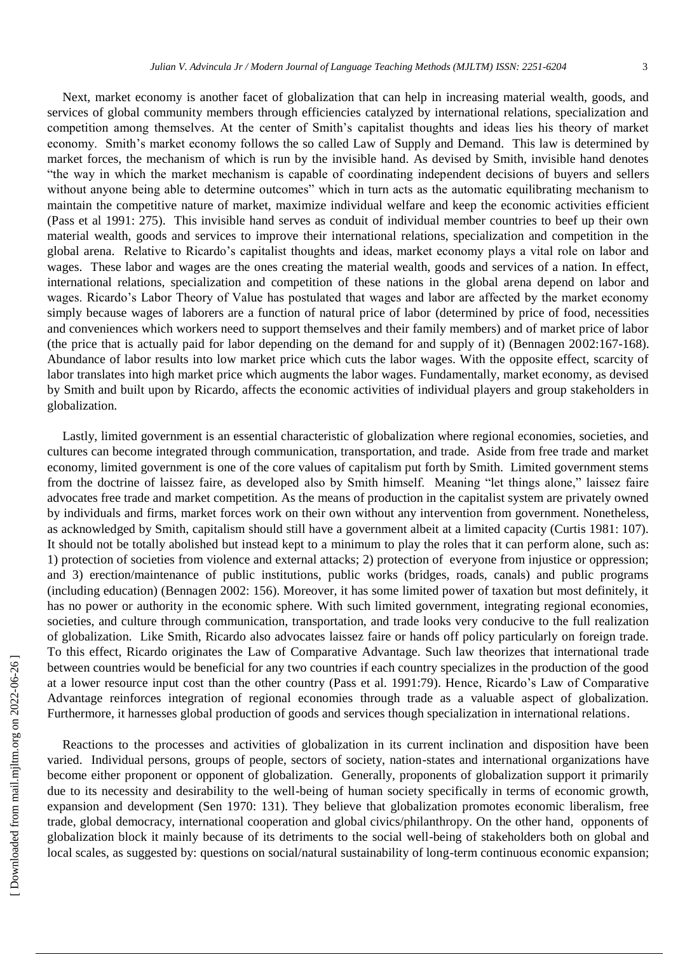Next, market economy is another facet of globalization that can help in increasing material wealth, goods, and services of global community members through efficiencies catalyzed by international relations, specialization and competition among themselves. At the center of Smith's capitalist thoughts and ideas lies his theory of market economy. Smith's market economy follows the so called Law of Supply and Demand. This law is determined by market forces, the mechanism of which is run by the invisible hand. As devised by Smith, invisible hand denotes "the way in which the market mechanism is capable of coordinating independent decisions of buyers and sellers without anyone being able to determine outcomes" which in turn acts as the automatic equilibrating mechanism to maintain the competitive nature of market, maximize individual welfare and keep the economic activities efficient (Pass et al 1991: 275). This invisible hand serves as conduit of individual member countries to beef up their own material wealth, goods and services to improve their international relations, specialization and competition in the global arena. Relative to Ricardo's capitalist thoughts and ideas, market economy plays a vital role on labor and wages. These labor and wages are the ones creating the material wealth, goods and services of a nation. In effect, international relations, specialization and competition of these nations in the global arena depend on labor and wages. Ricardo's Labor Theory of Value has postulated that wages and labor are affected by the market economy simply because wages of laborers are a function of natural price of labor (determined by price of food, necessities and conveniences which workers need to support themselves and their family members) and of market price of labor (the price that is actually paid for labor depending on the demand for and supply of it) (Bennagen 2002:167-168). Abundance of labor results into low market price which cuts the labor wages. With the opposite effect, scarcity of labor translates into high market price which augments the labor wages. Fundamentally, market economy, as devised by Smith and built upon by Ricardo, affects the economic activities of individual players and group stakeholders in globalization.

Lastly, limited government is an essential characteristic of globalization where regional economies, societies, and cultures can become integrated through communication, transportation, and trade. Aside from free trade and market economy, limited government is one of the core values of capitalism put forth by Smith. Limited government stems from the doctrine of laissez faire, as developed also by Smith himself. Meaning "let things alone," laissez faire advocates free trade and market competition. As the means of production in the capitalist system are privately owned by individuals and firms, market forces work on their own without any intervention from government. Nonetheless, as acknowledged by Smith, capitalism should still have a government albeit at a limited capacity (Curtis 1981: 107). It should not be totally abolished but instead kept to a minimum to play the roles that it can perform alone, such as: 1) protection of societies from violence and external attacks; 2) protection of everyone from injustice or oppression; and 3) erection/maintenance of public institutions, public works (bridges, roads, canals) and public programs (including education) (Bennagen 2002: 156). Moreover, it has some limited power of taxation but most definitely, it has no power or authority in the economic sphere. With such limited government, integrating regional economies, societies, and culture through communication, transportation, and trade looks very conducive to the full realization of globalization. Like Smith, Ricardo also advocates laissez faire or hands off policy particularly on foreign trade. To this effect, Ricardo originates the Law of Comparative Advantage. Such law theorizes that international trade between countries would be beneficial for any two countries if each country specializes in the production of the good at a lower resource input cost than the other country (Pass et al. 1991:79). Hence, Ricardo's Law of Comparative Advantage reinforces integration of regional economies through trade as a valuable aspect of globalization. Furthermore, it harnesses global production of goods and services though specialization in international relations.

Reactions to the processes and activities of globalization in its current inclination and disposition have been varied. Individual persons, groups of people, sectors of society, nation-states and international organizations have become either proponent or opponent of globalization. Generally, proponents of globalization support it primarily due to its necessity and desirability to the well-being of human society specifically in terms of economic growth, expansion and development (Sen 1970: 131). They believe that globalization promotes economic liberalism, free trade, global democracy, international cooperation and global civics/philanthropy. On the other hand, opponents of globalization block it mainly because of its detriments to the social well-being of stakeholders both on global and local scales, as suggested by: questions on social/natural sustainability of long-term continuous economic expansion;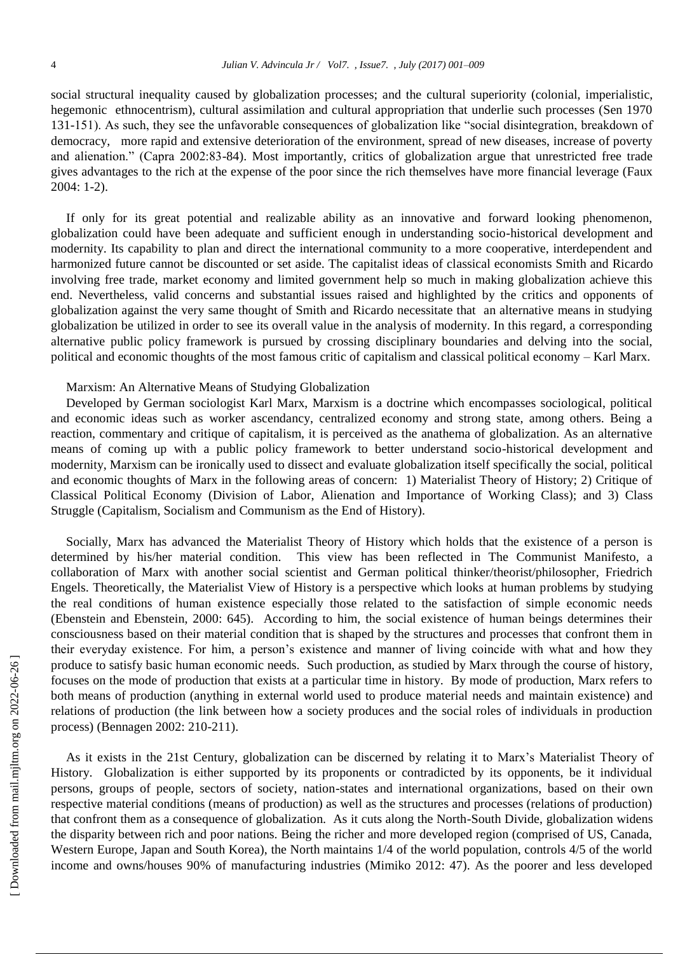social structural inequality caused by globalization processes; and the cultural superiority (colonial, imperialistic, hegemonic ethnocentrism), cultural assimilation and cultural appropriation that underlie such processes (Sen 1970 131-151). As such, they see the unfavorable consequences of globalization like "social disintegration, breakdown of democracy, more rapid and extensive deterioration of the environment, spread of new diseases, increase of poverty and alienation." (Capra 2002:83-84). Most importantly, critics of globalization argue that unrestricted free trade gives advantages to the rich at the expense of the poor since the rich themselves have more financial leverage (Faux 2004: 1-2).

If only for its great potential and realizable ability as an innovative and forward looking phenomenon, globalization could have been adequate and sufficient enough in understanding socio-historical development and modernity. Its capability to plan and direct the international community to a more cooperative, interdependent and harmonized future cannot be discounted or set aside. The capitalist ideas of classical economists Smith and Ricardo involving free trade, market economy and limited government help so much in making globalization achieve this end. Nevertheless, valid concerns and substantial issues raised and highlighted by the critics and opponents of globalization against the very same thought of Smith and Ricardo necessitate that an alternative means in studying globalization be utilized in order to see its overall value in the analysis of modernity. In this regard, a corresponding alternative public policy framework is pursued by crossing disciplinary boundaries and delving into the social, political and economic thoughts of the most famous critic of capitalism and classical political economy – Karl Marx.

## Marxism: An Alternative Means of Studying Globalization

Developed by German sociologist Karl Marx, Marxism is a doctrine which encompasses sociological, political and economic ideas such as worker ascendancy, centralized economy and strong state, among others. Being a reaction, commentary and critique of capitalism, it is perceived as the anathema of globalization. As an alternative means of coming up with a public policy framework to better understand socio-historical development and modernity, Marxism can be ironically used to dissect and evaluate globalization itself specifically the social, political and economic thoughts of Marx in the following areas of concern: 1) Materialist Theory of History; 2) Critique of Classical Political Economy (Division of Labor, Alienation and Importance of Working Class); and 3) Class Struggle (Capitalism, Socialism and Communism as the End of History).

Socially, Marx has advanced the Materialist Theory of History which holds that the existence of a person is determined by his/her material condition. This view has been reflected in The Communist Manifesto, a collaboration of Marx with another social scientist and German political thinker/theorist/philosopher, Friedrich Engels. Theoretically, the Materialist View of History is a perspective which looks at human problems by studying the real conditions of human existence especially those related to the satisfaction of simple economic needs (Ebenstein and Ebenstein, 2000: 645). According to him, the social existence of human beings determines their consciousness based on their material condition that is shaped by the structures and processes that confront them in their everyday existence. For him, a person's existence and manner of living coincide with what and how they produce to satisfy basic human economic needs. Such production, as studied by Marx through the course of history, focuses on the mode of production that exists at a particular time in history. By mode of production, Marx refers to both means of production (anything in external world used to produce material needs and maintain existence) and relations of production (the link between how a society produces and the social roles of individuals in production process) (Bennagen 2002: 210-211).

As it exists in the 21st Century, globalization can be discerned by relating it to Marx's Materialist Theory of History. Globalization is either supported by its proponents or contradicted by its opponents, be it individual persons, groups of people, sectors of society, nation-states and international organizations, based on their own respective material conditions (means of production) as well as the structures and processes (relations of production) that confront them as a consequence of globalization. As it cuts along the North-South Divide, globalization widens the disparity between rich and poor nations. Being the richer and more developed region (comprised of US, Canada, Western Europe, Japan and South Korea), the North maintains 1/4 of the world population, controls 4/5 of the world income and owns/houses 90% of manufacturing industries (Mimiko 2012: 47). As the poorer and less developed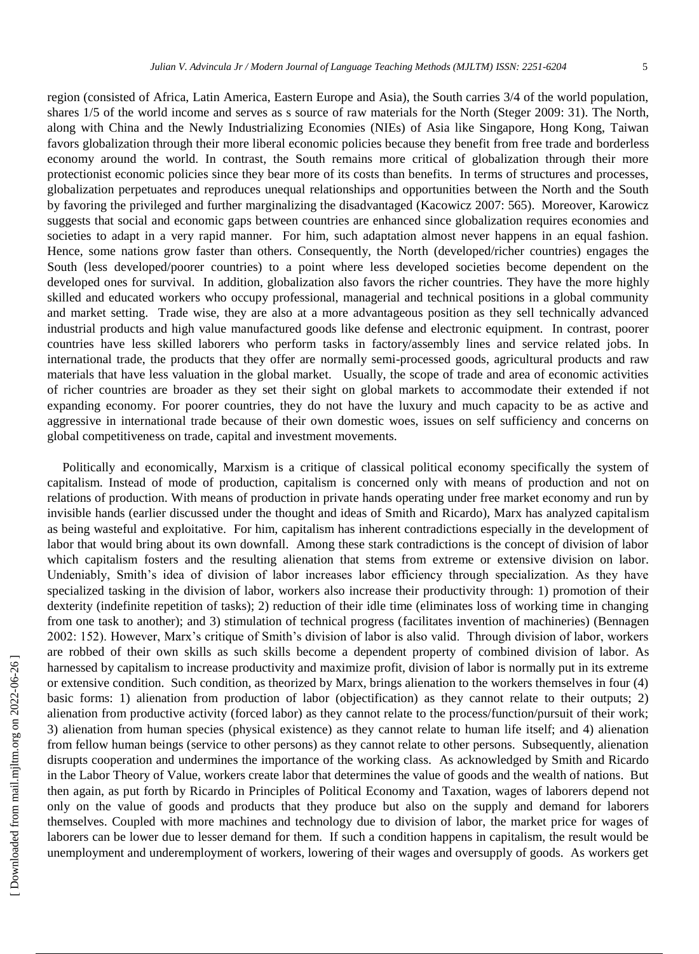region (consisted of Africa, Latin America, Eastern Europe and Asia), the South carries 3/4 of the world population, shares 1/5 of the world income and serves as s source of raw materials for the North (Steger 2009: 31). The North, along with China and the Newly Industrializing Economies (NIEs) of Asia like Singapore, Hong Kong, Taiwan favors globalization through their more liberal economic policies because they benefit from free trade and borderless economy around the world. In contrast, the South remains more critical of globalization through their more protectionist economic policies since they bear more of its costs than benefits. In terms of structures and processes, globalization perpetuates and reproduces unequal relationships and opportunities between the North and the South by favoring the privileged and further marginalizing the disadvantaged (Kacowicz 2007: 565). Moreover, Karowicz suggests that social and economic gaps between countries are enhanced since globalization requires economies and societies to adapt in a very rapid manner. For him, such adaptation almost never happens in an equal fashion. Hence, some nations grow faster than others. Consequently, the North (developed/richer countries) engages the South (less developed/poorer countries) to a point where less developed societies become dependent on the developed ones for survival. In addition, globalization also favors the richer countries. They have the more highly skilled and educated workers who occupy professional, managerial and technical positions in a global community and market setting. Trade wise, they are also at a more advantageous position as they sell technically advanced industrial products and high value manufactured goods like defense and electronic equipment. In contrast, poorer countries have less skilled laborers who perform tasks in factory/assembly lines and service related jobs. In international trade, the products that they offer are normally semi-processed goods, agricultural products and raw materials that have less valuation in the global market. Usually, the scope of trade and area of economic activities of richer countries are broader as they set their sight on global markets to accommodate their extended if not expanding economy. For poorer countries, they do not have the luxury and much capacity to be as active and aggressive in international trade because of their own domestic woes, issues on self sufficiency and concerns on global competitiveness on trade, capital and investment movements.

Politically and economically, Marxism is a critique of classical political economy specifically the system of capitalism. Instead of mode of production, capitalism is concerned only with means of production and not on relations of production. With means of production in private hands operating under free market economy and run by invisible hands (earlier discussed under the thought and ideas of Smith and Ricardo), Marx has analyzed capitalism as being wasteful and exploitative. For him, capitalism has inherent contradictions especially in the development of labor that would bring about its own downfall. Among these stark contradictions is the concept of division of labor which capitalism fosters and the resulting alienation that stems from extreme or extensive division on labor. Undeniably, Smith's idea of division of labor increases labor efficiency through specialization. As they have specialized tasking in the division of labor, workers also increase their productivity through: 1) promotion of their dexterity (indefinite repetition of tasks); 2) reduction of their idle time (eliminates loss of working time in changing from one task to another); and 3) stimulation of technical progress (facilitates invention of machineries) (Bennagen 2002: 152). However, Marx's critique of Smith's division of labor is also valid. Through division of labor, workers are robbed of their own skills as such skills become a dependent property of combined division of labor. As harnessed by capitalism to increase productivity and maximize profit, division of labor is normally put in its extreme or extensive condition. Such condition, as theorized by Marx, brings alienation to the workers themselves in four (4) basic forms: 1) alienation from production of labor (objectification) as they cannot relate to their outputs; 2) alienation from productive activity (forced labor) as they cannot relate to the process/function/pursuit of their work; 3) alienation from human species (physical existence) as they cannot relate to human life itself; and 4) alienation from fellow human beings (service to other persons) as they cannot relate to other persons. Subsequently, alienation disrupts cooperation and undermines the importance of the working class. As acknowledged by Smith and Ricardo in the Labor Theory of Value, workers create labor that determines the value of goods and the wealth of nations. But then again, as put forth by Ricardo in Principles of Political Economy and Taxation, wages of laborers depend not only on the value of goods and products that they produce but also on the supply and demand for laborers themselves. Coupled with more machines and technology due to division of labor, the market price for wages of laborers can be lower due to lesser demand for them. If such a condition happens in capitalism, the result would be unemployment and underemployment of workers, lowering of their wages and oversupply of goods. As workers get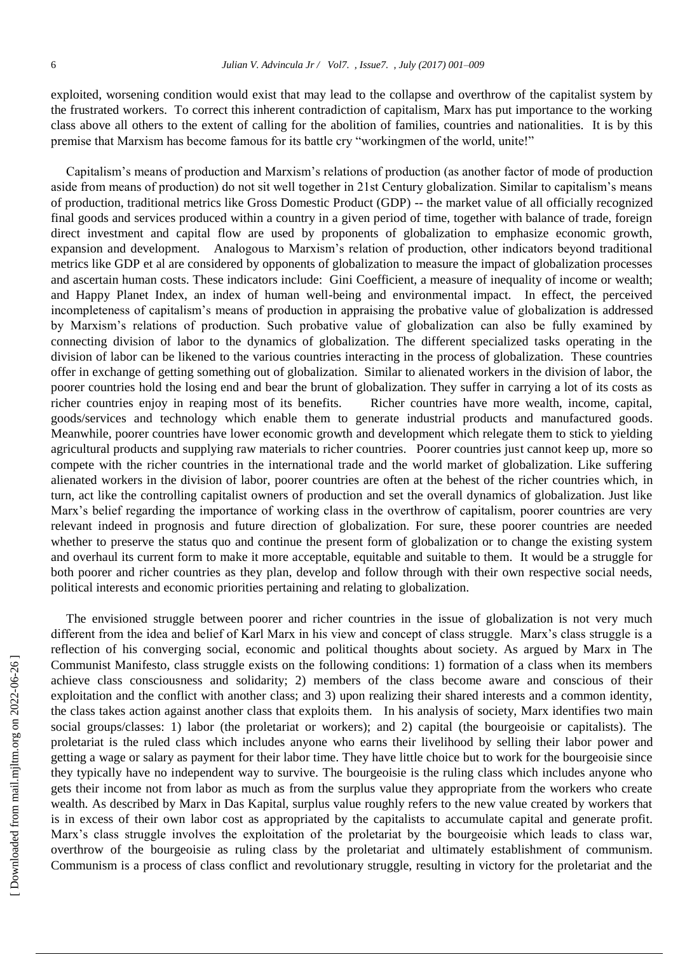exploited, worsening condition would exist that may lead to the collapse and overthrow of the capitalist system by the frustrated workers. To correct this inherent contradiction of capitalism, Marx has put importance to the working class above all others to the extent of calling for the abolition of families, countries and nationalities. It is by this premise that Marxism has become famous for its battle cry "workingmen of the world, unite!"

Capitalism's means of production and Marxism's relations of production (as another factor of mode of production aside from means of production) do not sit well together in 21st Century globalization. Similar to capitalism's means of production, traditional metrics like Gross Domestic Product (GDP) -- the market value of all officially recognized final goods and services produced within a country in a given period of time, together with balance of trade, foreign direct investment and capital flow are used by proponents of globalization to emphasize economic growth, expansion and development. Analogous to Marxism's relation of production, other indicators beyond traditional metrics like GDP et al are considered by opponents of globalization to measure the impact of globalization processes and ascertain human costs. These indicators include: Gini Coefficient, a measure of inequality of income or wealth; and Happy Planet Index, an index of human well-being and environmental impact. In effect, the perceived incompleteness of capitalism's means of production in appraising the probative value of globalization is addressed by Marxism's relations of production. Such probative value of globalization can also be fully examined by connecting division of labor to the dynamics of globalization. The different specialized tasks operating in the division of labor can be likened to the various countries interacting in the process of globalization. These countries offer in exchange of getting something out of globalization. Similar to alienated workers in the division of labor, the poorer countries hold the losing end and bear the brunt of globalization. They suffer in carrying a lot of its costs as richer countries enjoy in reaping most of its benefits. Richer countries have more wealth, income, capital, goods/services and technology which enable them to generate industrial products and manufactured goods. Meanwhile, poorer countries have lower economic growth and development which relegate them to stick to yielding agricultural products and supplying raw materials to richer countries. Poorer countries just cannot keep up, more so compete with the richer countries in the international trade and the world market of globalization. Like suffering alienated workers in the division of labor, poorer countries are often at the behest of the richer countries which, in turn, act like the controlling capitalist owners of production and set the overall dynamics of globalization. Just like Marx's belief regarding the importance of working class in the overthrow of capitalism, poorer countries are very relevant indeed in prognosis and future direction of globalization. For sure, these poorer countries are needed whether to preserve the status quo and continue the present form of globalization or to change the existing system and overhaul its current form to make it more acceptable, equitable and suitable to them. It would be a struggle for both poorer and richer countries as they plan, develop and follow through with their own respective social needs, political interests and economic priorities pertaining and relating to globalization.

The envisioned struggle between poorer and richer countries in the issue of globalization is not very much different from the idea and belief of Karl Marx in his view and concept of class struggle. Marx's class struggle is a reflection of his converging social, economic and political thoughts about society. As argued by Marx in The Communist Manifesto, class struggle exists on the following conditions: 1) formation of a class when its members achieve class consciousness and solidarity; 2) members of the class become aware and conscious of their exploitation and the conflict with another class; and 3) upon realizing their shared interests and a common identity, the class takes action against another class that exploits them. In his analysis of society, Marx identifies two main social groups/classes: 1) labor (the proletariat or workers); and 2) capital (the bourgeoisie or capitalists). The proletariat is the ruled class which includes anyone who earns their livelihood by selling their labor power and getting a wage or salary as payment for their labor time. They have little choice but to work for the bourgeoisie since they typically have no independent way to survive. The bourgeoisie is the ruling class which includes anyone who gets their income not from labor as much as from the surplus value they appropriate from the workers who create wealth. As described by Marx in Das Kapital, surplus value roughly refers to the new value created by workers that is in excess of their own labor cost as appropriated by the capitalists to accumulate capital and generate profit. Marx's class struggle involves the exploitation of the proletariat by the bourgeoisie which leads to class war, overthrow of the bourgeoisie as ruling class by the proletariat and ultimately establishment of communism. Communism is a process of class conflict and revolutionary struggle, resulting in victory for the proletariat and the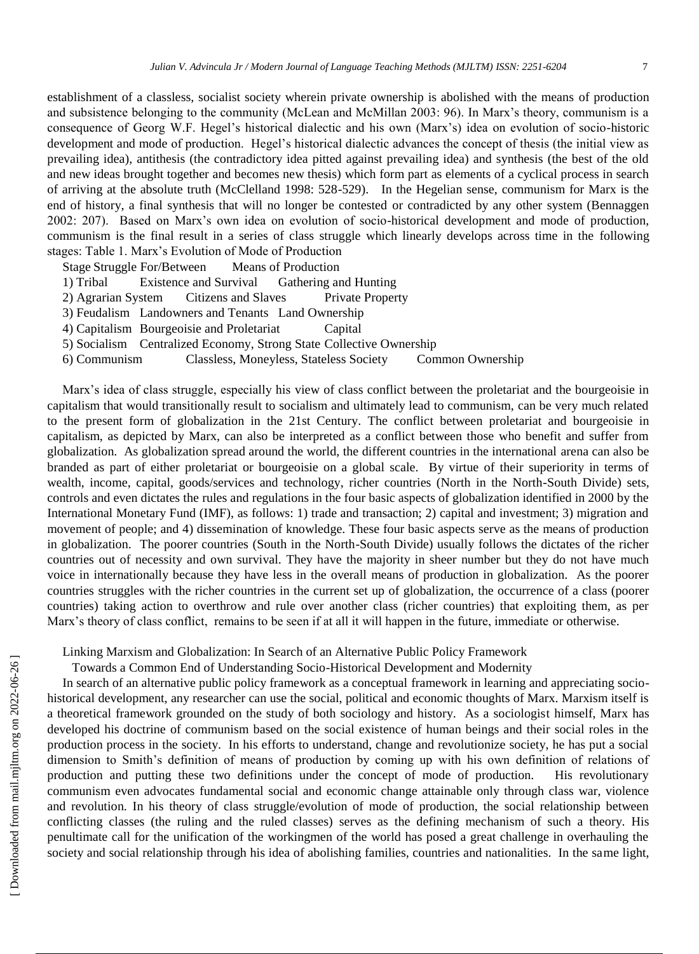establishment of a classless, socialist society wherein private ownership is abolished with the means of production and subsistence belonging to the community (McLean and McMillan 2003: 96). In Marx's theory, communism is a consequence of Georg W.F. Hegel's historical dialectic and his own (Marx's) idea on evolution of socio-historic development and mode of production. Hegel's historical dialectic advances the concept of thesis (the initial view as prevailing idea), antithesis (the contradictory idea pitted against prevailing idea) and synthesis (the best of the old and new ideas brought together and becomes new thesis) which form part as elements of a cyclical process in search of arriving at the absolute truth (McClelland 1998: 528-529). In the Hegelian sense, communism for Marx is the end of history, a final synthesis that will no longer be contested or contradicted by any other system (Bennaggen 2002: 207). Based on Marx's own idea on evolution of socio-historical development and mode of production, communism is the final result in a series of class struggle which linearly develops across time in the following stages: Table 1. Marx's Evolution of Mode of Production

Stage Struggle For/Between Means of Production

- 1) Tribal Existence and Survival Gathering and Hunting
- 2) Agrarian System Citizens and Slaves Private Property
- 3) Feudalism Landowners and Tenants Land Ownership
- 4) Capitalism Bourgeoisie and Proletariat Capital
- 5) Socialism Centralized Economy, Strong State Collective Ownership
- 6) Communism Classless, Moneyless, Stateless Society Common Ownership

Marx's idea of class struggle, especially his view of class conflict between the proletariat and the bourgeoisie in capitalism that would transitionally result to socialism and ultimately lead to communism, can be very much related to the present form of globalization in the 21st Century. The conflict between proletariat and bourgeoisie in capitalism, as depicted by Marx, can also be interpreted as a conflict between those who benefit and suffer from globalization. As globalization spread around the world, the different countries in the international arena can also be branded as part of either proletariat or bourgeoisie on a global scale. By virtue of their superiority in terms of wealth, income, capital, goods/services and technology, richer countries (North in the North-South Divide) sets, controls and even dictates the rules and regulations in the four basic aspects of globalization identified in 2000 by the International Monetary Fund (IMF), as follows: 1) trade and transaction; 2) capital and investment; 3) migration and movement of people; and 4) dissemination of knowledge. These four basic aspects serve as the means of production in globalization. The poorer countries (South in the North-South Divide) usually follows the dictates of the richer countries out of necessity and own survival. They have the majority in sheer number but they do not have much voice in internationally because they have less in the overall means of production in globalization. As the poorer countries struggles with the richer countries in the current set up of globalization, the occurrence of a class (poorer countries) taking action to overthrow and rule over another class (richer countries) that exploiting them, as per Marx's theory of class conflict, remains to be seen if at all it will happen in the future, immediate or otherwise.

Linking Marxism and Globalization: In Search of an Alternative Public Policy Framework

Towards a Common End of Understanding Socio-Historical Development and Modernity

In search of an alternative public policy framework as a conceptual framework in learning and appreciating sociohistorical development, any researcher can use the social, political and economic thoughts of Marx. Marxism itself is a theoretical framework grounded on the study of both sociology and history. As a sociologist himself, Marx has developed his doctrine of communism based on the social existence of human beings and their social roles in the production process in the society. In his efforts to understand, change and revolutionize society, he has put a social dimension to Smith's definition of means of production by coming up with his own definition of relations of production and putting these two definitions under the concept of mode of production. His revolutionary communism even advocates fundamental social and economic change attainable only through class war, violence and revolution. In his theory of class struggle/evolution of mode of production, the social relationship between conflicting classes (the ruling and the ruled classes) serves as the defining mechanism of such a theory. His penultimate call for the unification of the workingmen of the world has posed a great challenge in overhauling the society and social relationship through his idea of abolishing families, countries and nationalities. In the same light,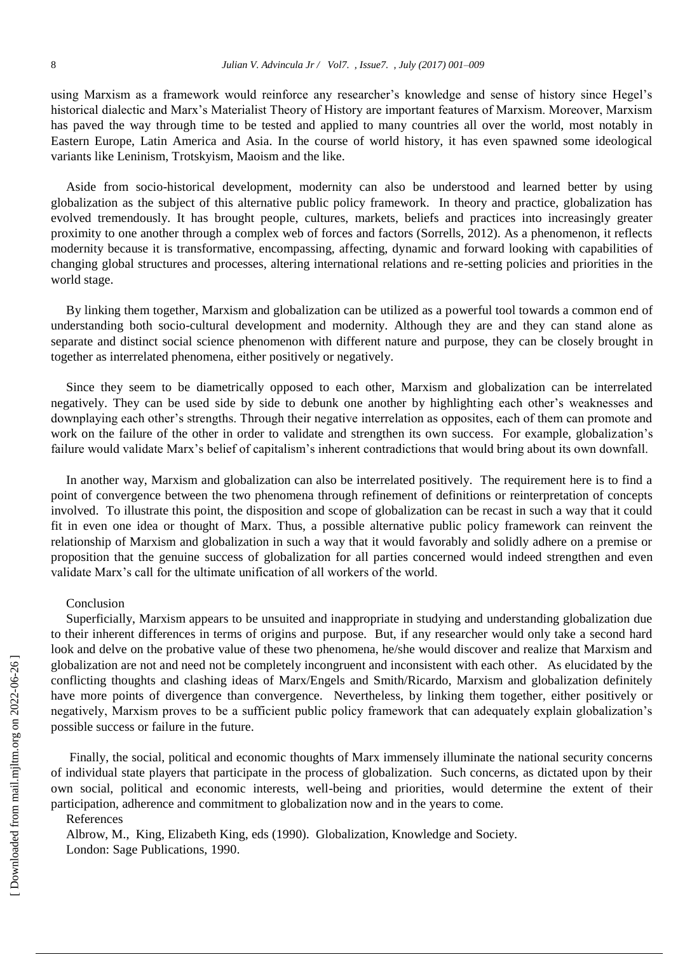using Marxism as a framework would reinforce any researcher's knowledge and sense of history since Hegel's historical dialectic and Marx's Materialist Theory of History are important features of Marxism. Moreover, Marxism has paved the way through time to be tested and applied to many countries all over the world, most notably in Eastern Europe, Latin America and Asia. In the course of world history, it has even spawned some ideological variants like Leninism, Trotskyism, Maoism and the like.

Aside from socio-historical development, modernity can also be understood and learned better by using globalization as the subject of this alternative public policy framework. In theory and practice, globalization has evolved tremendously. It has brought people, cultures, markets, beliefs and practices into increasingly greater proximity to one another through a complex web of forces and factors (Sorrells, 2012). As a phenomenon, it reflects modernity because it is transformative, encompassing, affecting, dynamic and forward looking with capabilities of changing global structures and processes, altering international relations and re-setting policies and priorities in the world stage.

By linking them together, Marxism and globalization can be utilized as a powerful tool towards a common end of understanding both socio-cultural development and modernity. Although they are and they can stand alone as separate and distinct social science phenomenon with different nature and purpose, they can be closely brought in together as interrelated phenomena, either positively or negatively.

Since they seem to be diametrically opposed to each other, Marxism and globalization can be interrelated negatively. They can be used side by side to debunk one another by highlighting each other's weaknesses and downplaying each other's strengths. Through their negative interrelation as opposites, each of them can promote and work on the failure of the other in order to validate and strengthen its own success. For example, globalization's failure would validate Marx's belief of capitalism's inherent contradictions that would bring about its own downfall.

In another way, Marxism and globalization can also be interrelated positively. The requirement here is to find a point of convergence between the two phenomena through refinement of definitions or reinterpretation of concepts involved. To illustrate this point, the disposition and scope of globalization can be recast in such a way that it could fit in even one idea or thought of Marx. Thus, a possible alternative public policy framework can reinvent the relationship of Marxism and globalization in such a way that it would favorably and solidly adhere on a premise or proposition that the genuine success of globalization for all parties concerned would indeed strengthen and even validate Marx's call for the ultimate unification of all workers of the world.

## Conclusion

Superficially, Marxism appears to be unsuited and inappropriate in studying and understanding globalization due to their inherent differences in terms of origins and purpose. But, if any researcher would only take a second hard look and delve on the probative value of these two phenomena, he/she would discover and realize that Marxism and globalization are not and need not be completely incongruent and inconsistent with each other. As elucidated by the conflicting thoughts and clashing ideas of Marx/Engels and Smith/Ricardo, Marxism and globalization definitely have more points of divergence than convergence. Nevertheless, by linking them together, either positively or negatively, Marxism proves to be a sufficient public policy framework that can adequately explain globalization's possible success or failure in the future.

Finally, the social, political and economic thoughts of Marx immensely illuminate the national security concerns of individual state players that participate in the process of globalization. Such concerns, as dictated upon by their own social, political and economic interests, well-being and priorities, would determine the extent of their participation, adherence and commitment to globalization now and in the years to come.

## References

Albrow, M., King, Elizabeth King, eds (1990). Globalization, Knowledge and Society. London: Sage Publications, 1990.